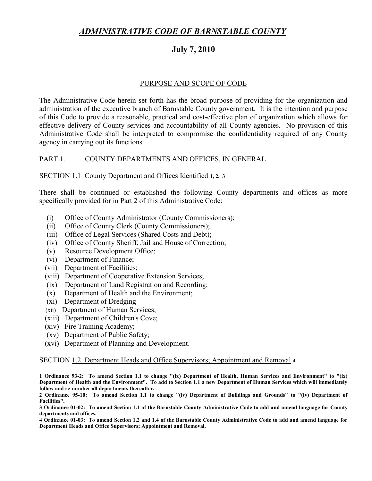# *ADMINISTRATIVE CODE OF BARNSTABLE COUNTY*

# **July 7, 2010**

## PURPOSE AND SCOPE OF CODE

The Administrative Code herein set forth has the broad purpose of providing for the organization and administration of the executive branch of Barnstable County government. It is the intention and purpose of this Code to provide a reasonable, practical and cost-effective plan of organization which allows for effective delivery of County services and accountability of all County agencies. No provision of this Administrative Code shall be interpreted to compromise the confidentiality required of any County agency in carrying out its functions.

## PART 1. COUNTY DEPARTMENTS AND OFFICES, IN GENERAL

#### SECTION 1.1 County Department and Offices Identified **1, 2, 3**

There shall be continued or established the following County departments and offices as more specifically provided for in Part 2 of this Administrative Code:

- (i) Office of County Administrator (County Commissioners);
- (ii) Office of County Clerk (County Commissioners);
- (iii) Office of Legal Services (Shared Costs and Debt);
- (iv) Office of County Sheriff, Jail and House of Correction;
- (v) Resource Development Office;
- (vi) Department of Finance;
- (vii) Department of Facilities;
- (viii) Department of Cooperative Extension Services;
- (ix) Department of Land Registration and Recording;
- (x) Department of Health and the Environment;
- (xi) Department of Dredging
- (xii) Department of Human Services;
- (xiii) Department of Children's Cove;
- (xiv) Fire Training Academy;
- (xv) Department of Public Safety;
- (xvi) Department of Planning and Development.

#### SECTION 1.2 Department Heads and Office Supervisors; Appointment and Removal **4**

**1 Ordinance 93-2: To amend Section 1.1 to change "(ix) Department of Health, Human Services and Environment" to "(ix) Department of Health and the Environment". To add to Section 1.1 a new Department of Human Services which will immediately follow and re-number all departments thereafter.**

**2 Ordinance 95-10: To amend Section 1.1 to change "(iv) Department of Buildings and Grounds" to "(iv) Department of Facilities".**

**3 Ordinance 01-02: To amend Section 1.1 of the Barnstable County Administrative Code to add and amend language for County departments and offices.**

**4 Ordinance 01-03: To amend Section 1.2 and 1.4 of the Barnstable County Administrative Code to add and amend language for Department Heads and Office Supervisors; Appointment and Removal.**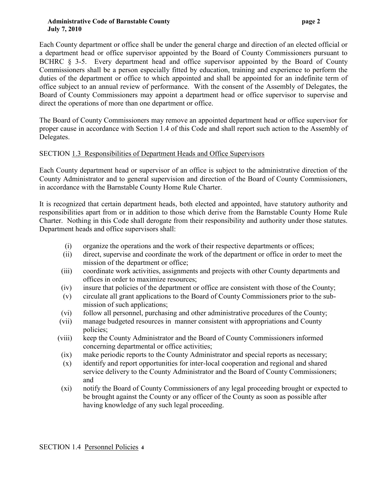#### **Administrative Code of Barnstable County page 2 July 7, 2010**

Each County department or office shall be under the general charge and direction of an elected official or a department head or office supervisor appointed by the Board of County Commissioners pursuant to BCHRC § 3-5. Every department head and office supervisor appointed by the Board of County Commissioners shall be a person especially fitted by education, training and experience to perform the duties of the department or office to which appointed and shall be appointed for an indefinite term of office subject to an annual review of performance. With the consent of the Assembly of Delegates, the Board of County Commissioners may appoint a department head or office supervisor to supervise and direct the operations of more than one department or office.

The Board of County Commissioners may remove an appointed department head or office supervisor for proper cause in accordance with Section 1.4 of this Code and shall report such action to the Assembly of Delegates.

## SECTION 1.3 Responsibilities of Department Heads and Office Supervisors

Each County department head or supervisor of an office is subject to the administrative direction of the County Administrator and to general supervision and direction of the Board of County Commissioners, in accordance with the Barnstable County Home Rule Charter.

It is recognized that certain department heads, both elected and appointed, have statutory authority and responsibilities apart from or in addition to those which derive from the Barnstable County Home Rule Charter. Nothing in this Code shall derogate from their responsibility and authority under those statutes. Department heads and office supervisors shall:

- (i) organize the operations and the work of their respective departments or offices;
- (ii) direct, supervise and coordinate the work of the department or office in order to meet the mission of the department or office;
- (iii) coordinate work activities, assignments and projects with other County departments and offices in order to maximize resources;
- (iv) insure that policies of the department or office are consistent with those of the County;
- (v) circulate all grant applications to the Board of County Commissioners prior to the submission of such applications;
- (vi) follow all personnel, purchasing and other administrative procedures of the County;
- (vii) manage budgeted resources in manner consistent with appropriations and County policies;
- (viii) keep the County Administrator and the Board of County Commissioners informed concerning departmental or office activities;
- (ix) make periodic reports to the County Administrator and special reports as necessary;
- (x) identify and report opportunities for inter-local cooperation and regional and shared service delivery to the County Administrator and the Board of County Commissioners; and
- (xi) notify the Board of County Commissioners of any legal proceeding brought or expected to be brought against the County or any officer of the County as soon as possible after having knowledge of any such legal proceeding.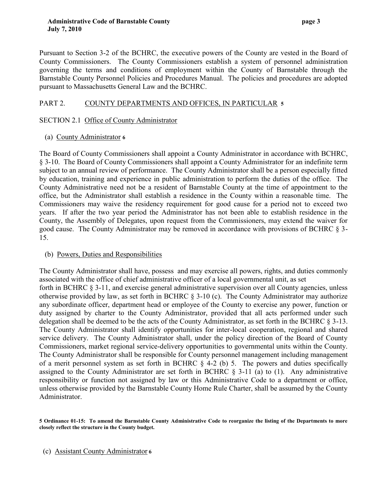Pursuant to Section 3-2 of the BCHRC, the executive powers of the County are vested in the Board of County Commissioners. The County Commissioners establish a system of personnel administration governing the terms and conditions of employment within the County of Barnstable through the Barnstable County Personnel Policies and Procedures Manual. The policies and procedures are adopted pursuant to Massachusetts General Law and the BCHRC.

# PART 2. COUNTY DEPARTMENTS AND OFFICES, IN PARTICULAR **5**

## SECTION 2.1 Office of County Administrator

(a) County Administrator **6** 

The Board of County Commissioners shall appoint a County Administrator in accordance with BCHRC, § 3-10. The Board of County Commissioners shall appoint a County Administrator for an indefinite term subject to an annual review of performance. The County Administrator shall be a person especially fitted by education, training and experience in public administration to perform the duties of the office. The County Administrative need not be a resident of Barnstable County at the time of appointment to the office, but the Administrator shall establish a residence in the County within a reasonable time. The Commissioners may waive the residency requirement for good cause for a period not to exceed two years. If after the two year period the Administrator has not been able to establish residence in the County, the Assembly of Delegates, upon request from the Commissioners, may extend the waiver for good cause. The County Administrator may be removed in accordance with provisions of BCHRC § 3- 15.

## (b) Powers, Duties and Responsibilities

The County Administrator shall have, possess and may exercise all powers, rights, and duties commonly associated with the office of chief administrative officer of a local governmental unit, as set forth in BCHRC § 3-11, and exercise general administrative supervision over all County agencies, unless otherwise provided by law, as set forth in BCHRC § 3-10 (c). The County Administrator may authorize any subordinate officer, department head or employee of the County to exercise any power, function or duty assigned by charter to the County Administrator, provided that all acts performed under such delegation shall be deemed to be the acts of the County Administrator, as set forth in the BCHRC § 3-13. The County Administrator shall identify opportunities for inter-local cooperation, regional and shared service delivery. The County Administrator shall, under the policy direction of the Board of County Commissioners, market regional service-delivery opportunities to governmental units within the County. The County Administrator shall be responsible for County personnel management including management of a merit personnel system as set forth in BCHRC  $\S$  4-2 (b) 5. The powers and duties specifically assigned to the County Administrator are set forth in BCHRC  $\S$  3-11 (a) to (1). Any administrative responsibility or function not assigned by law or this Administrative Code to a department or office, unless otherwise provided by the Barnstable County Home Rule Charter, shall be assumed by the County Administrator.

**<sup>5</sup> Ordinance 01-15: To amend the Barnstable County Administrative Code to reorganize the listing of the Departments to more closely reflect the structure in the County budget.**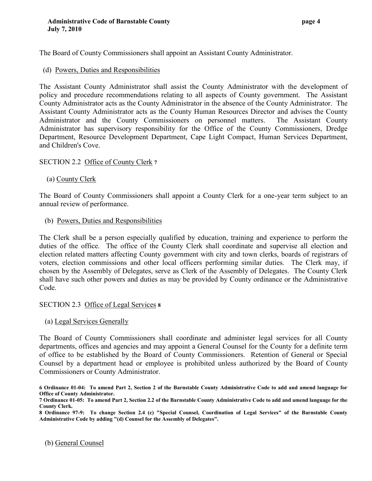The Board of County Commissioners shall appoint an Assistant County Administrator.

(d) Powers, Duties and Responsibilities

The Assistant County Administrator shall assist the County Administrator with the development of policy and procedure recommendations relating to all aspects of County government. The Assistant County Administrator acts as the County Administrator in the absence of the County Administrator. The Assistant County Administrator acts as the County Human Resources Director and advises the County Administrator and the County Commissioners on personnel matters. The Assistant County Administrator has supervisory responsibility for the Office of the County Commissioners, Dredge Department, Resource Development Department, Cape Light Compact, Human Services Department, and Children's Cove.

## SECTION 2.2 Office of County Clerk **7**

(a) County Clerk

The Board of County Commissioners shall appoint a County Clerk for a one-year term subject to an annual review of performance.

(b) Powers, Duties and Responsibilities

The Clerk shall be a person especially qualified by education, training and experience to perform the duties of the office. The office of the County Clerk shall coordinate and supervise all election and election related matters affecting County government with city and town clerks, boards of registrars of voters, election commissions and other local officers performing similar duties. The Clerk may, if chosen by the Assembly of Delegates, serve as Clerk of the Assembly of Delegates. The County Clerk shall have such other powers and duties as may be provided by County ordinance or the Administrative Code.

#### SECTION 2.3 Office of Legal Services **8**

(a) Legal Services Generally

The Board of County Commissioners shall coordinate and administer legal services for all County departments, offices and agencies and may appoint a General Counsel for the County for a definite term of office to be established by the Board of County Commissioners. Retention of General or Special Counsel by a department head or employee is prohibited unless authorized by the Board of County Commissioners or County Administrator.

**8 Ordinance 97-9: To change Section 2.4 (c) "Special Counsel, Coordination of Legal Services" of the Barnstable County Administrative Code by adding "(d) Counsel for the Assembly of Delegates".**

(b) General Counsel

**<sup>6</sup> Ordinance 01-04: To amend Part 2, Section 2 of the Barnstable County Administrative Code to add and amend language for Office of County Administrator.**

**<sup>7</sup> Ordinance 01-05: To amend Part 2, Section 2.2 of the Barnstable County Administrative Code to add and amend language for the County Clerk.**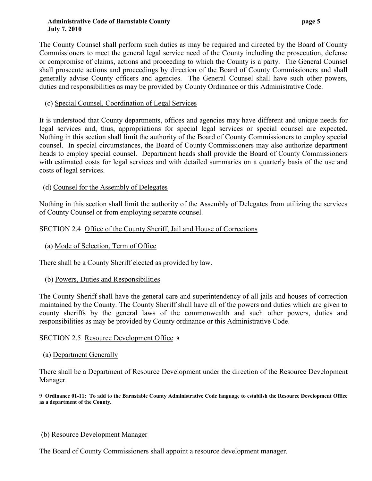#### **Administrative Code of Barnstable County page 5 July 7, 2010**

The County Counsel shall perform such duties as may be required and directed by the Board of County Commissioners to meet the general legal service need of the County including the prosecution, defense or compromise of claims, actions and proceeding to which the County is a party. The General Counsel shall prosecute actions and proceedings by direction of the Board of County Commissioners and shall generally advise County officers and agencies. The General Counsel shall have such other powers, duties and responsibilities as may be provided by County Ordinance or this Administrative Code.

# (c) Special Counsel, Coordination of Legal Services

It is understood that County departments, offices and agencies may have different and unique needs for legal services and, thus, appropriations for special legal services or special counsel are expected. Nothing in this section shall limit the authority of the Board of County Commissioners to employ special counsel. In special circumstances, the Board of County Commissioners may also authorize department heads to employ special counsel. Department heads shall provide the Board of County Commissioners with estimated costs for legal services and with detailed summaries on a quarterly basis of the use and costs of legal services.

# (d) Counsel for the Assembly of Delegates

Nothing in this section shall limit the authority of the Assembly of Delegates from utilizing the services of County Counsel or from employing separate counsel.

# SECTION 2.4 Office of the County Sheriff, Jail and House of Corrections

(a) Mode of Selection, Term of Office

There shall be a County Sheriff elected as provided by law.

(b) Powers, Duties and Responsibilities

The County Sheriff shall have the general care and superintendency of all jails and houses of correction maintained by the County. The County Sheriff shall have all of the powers and duties which are given to county sheriffs by the general laws of the commonwealth and such other powers, duties and responsibilities as may be provided by County ordinance or this Administrative Code.

## SECTION 2.5 Resource Development Office **9**

#### (a) Department Generally

There shall be a Department of Resource Development under the direction of the Resource Development Manager.

**9 Ordinance 01-11: To add to the Barnstable County Administrative Code language to establish the Resource Development Office as a department of the County.**

#### (b) Resource Development Manager

The Board of County Commissioners shall appoint a resource development manager.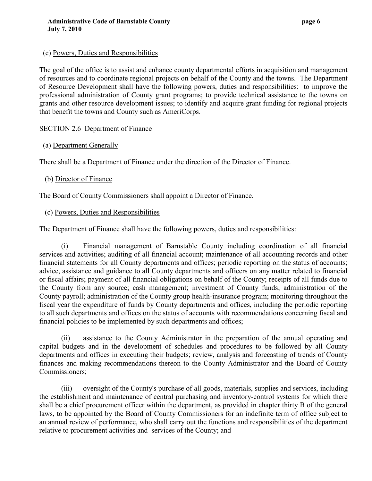#### (c) Powers, Duties and Responsibilities

The goal of the office is to assist and enhance county departmental efforts in acquisition and management of resources and to coordinate regional projects on behalf of the County and the towns. The Department of Resource Development shall have the following powers, duties and responsibilities: to improve the professional administration of County grant programs; to provide technical assistance to the towns on grants and other resource development issues; to identify and acquire grant funding for regional projects that benefit the towns and County such as AmeriCorps.

## SECTION 2.6 Department of Finance

## (a) Department Generally

There shall be a Department of Finance under the direction of the Director of Finance.

## (b) Director of Finance

The Board of County Commissioners shall appoint a Director of Finance.

## (c) Powers, Duties and Responsibilities

The Department of Finance shall have the following powers, duties and responsibilities:

(i) Financial management of Barnstable County including coordination of all financial services and activities; auditing of all financial account; maintenance of all accounting records and other financial statements for all County departments and offices; periodic reporting on the status of accounts; advice, assistance and guidance to all County departments and officers on any matter related to financial or fiscal affairs; payment of all financial obligations on behalf of the County; receipts of all funds due to the County from any source; cash management; investment of County funds; administration of the County payroll; administration of the County group health-insurance program; monitoring throughout the fiscal year the expenditure of funds by County departments and offices, including the periodic reporting to all such departments and offices on the status of accounts with recommendations concerning fiscal and financial policies to be implemented by such departments and offices;

(ii) assistance to the County Administrator in the preparation of the annual operating and capital budgets and in the development of schedules and procedures to be followed by all County departments and offices in executing their budgets; review, analysis and forecasting of trends of County finances and making recommendations thereon to the County Administrator and the Board of County Commissioners;

(iii) oversight of the County's purchase of all goods, materials, supplies and services, including the establishment and maintenance of central purchasing and inventory-control systems for which there shall be a chief procurement officer within the department, as provided in chapter thirty B of the general laws, to be appointed by the Board of County Commissioners for an indefinite term of office subject to an annual review of performance, who shall carry out the functions and responsibilities of the department relative to procurement activities and services of the County; and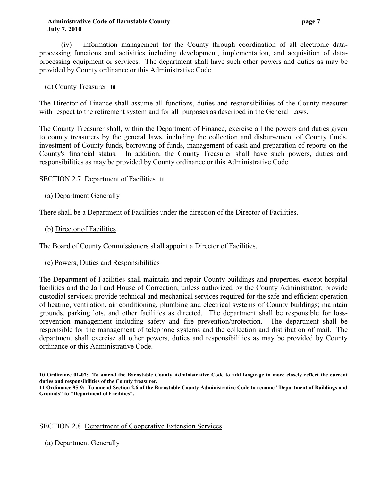#### **Administrative Code of Barnstable County page 7 July 7, 2010**

(iv) information management for the County through coordination of all electronic dataprocessing functions and activities including development, implementation, and acquisition of dataprocessing equipment or services. The department shall have such other powers and duties as may be provided by County ordinance or this Administrative Code.

## (d) County Treasurer **10**

The Director of Finance shall assume all functions, duties and responsibilities of the County treasurer with respect to the retirement system and for all purposes as described in the General Laws.

The County Treasurer shall, within the Department of Finance, exercise all the powers and duties given to county treasurers by the general laws, including the collection and disbursement of County funds, investment of County funds, borrowing of funds, management of cash and preparation of reports on the County's financial status. In addition, the County Treasurer shall have such powers, duties and responsibilities as may be provided by County ordinance or this Administrative Code.

## SECTION 2.7 Department of Facilities **11**

## (a) Department Generally

There shall be a Department of Facilities under the direction of the Director of Facilities.

#### (b) Director of Facilities

The Board of County Commissioners shall appoint a Director of Facilities.

#### (c) Powers, Duties and Responsibilities

The Department of Facilities shall maintain and repair County buildings and properties, except hospital facilities and the Jail and House of Correction, unless authorized by the County Administrator; provide custodial services; provide technical and mechanical services required for the safe and efficient operation of heating, ventilation, air conditioning, plumbing and electrical systems of County buildings; maintain grounds, parking lots, and other facilities as directed. The department shall be responsible for lossprevention management including safety and fire prevention/protection. The department shall be responsible for the management of telephone systems and the collection and distribution of mail. The department shall exercise all other powers, duties and responsibilities as may be provided by County ordinance or this Administrative Code.

#### SECTION 2.8 Department of Cooperative Extension Services

(a) Department Generally

**<sup>10</sup> Ordinance 01-07: To amend the Barnstable County Administrative Code to add language to more closely reflect the current duties and responsibilities of the County treasurer.**

**<sup>11</sup> Ordinance 95-9: To amend Section 2.6 of the Barnstable County Administrative Code to rename "Department of Buildings and Grounds" to "Department of Facilities".**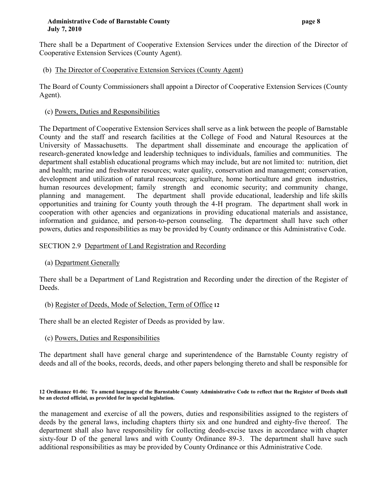#### **Administrative Code of Barnstable County page 8 July 7, 2010**

There shall be a Department of Cooperative Extension Services under the direction of the Director of Cooperative Extension Services (County Agent).

# (b) The Director of Cooperative Extension Services (County Agent)

The Board of County Commissioners shall appoint a Director of Cooperative Extension Services (County Agent).

# (c) Powers, Duties and Responsibilities

The Department of Cooperative Extension Services shall serve as a link between the people of Barnstable County and the staff and research facilities at the College of Food and Natural Resources at the University of Massachusetts. The department shall disseminate and encourage the application of research-generated knowledge and leadership techniques to individuals, families and communities. The department shall establish educational programs which may include, but are not limited to: nutrition, diet and health; marine and freshwater resources; water quality, conservation and management; conservation, development and utilization of natural resources; agriculture, home horticulture and green industries, human resources development; family strength and economic security; and community change, planning and management. The department shall provide educational, leadership and life skills opportunities and training for County youth through the 4-H program. The department shall work in cooperation with other agencies and organizations in providing educational materials and assistance, information and guidance, and person-to-person counseling. The department shall have such other powers, duties and responsibilities as may be provided by County ordinance or this Administrative Code.

# SECTION 2.9 Department of Land Registration and Recording

# (a) Department Generally

There shall be a Department of Land Registration and Recording under the direction of the Register of Deeds.

# (b) Register of Deeds, Mode of Selection, Term of Office **12**

There shall be an elected Register of Deeds as provided by law.

# (c) Powers, Duties and Responsibilities

The department shall have general charge and superintendence of the Barnstable County registry of deeds and all of the books, records, deeds, and other papers belonging thereto and shall be responsible for

#### **12 Ordinance 01-06: To amend language of the Barnstable County Administrative Code to reflect that the Register of Deeds shall be an elected official, as provided for in special legislation.**

the management and exercise of all the powers, duties and responsibilities assigned to the registers of deeds by the general laws, including chapters thirty six and one hundred and eighty-five thereof. The department shall also have responsibility for collecting deeds-excise taxes in accordance with chapter sixty-four D of the general laws and with County Ordinance 89-3. The department shall have such additional responsibilities as may be provided by County Ordinance or this Administrative Code.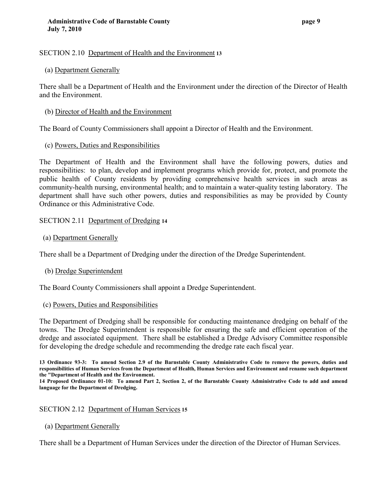#### SECTION 2.10 Department of Health and the Environment **13**

#### (a) Department Generally

There shall be a Department of Health and the Environment under the direction of the Director of Health and the Environment.

(b) Director of Health and the Environment

The Board of County Commissioners shall appoint a Director of Health and the Environment.

#### (c) Powers, Duties and Responsibilities

The Department of Health and the Environment shall have the following powers, duties and responsibilities: to plan, develop and implement programs which provide for, protect, and promote the public health of County residents by providing comprehensive health services in such areas as community-health nursing, environmental health; and to maintain a water-quality testing laboratory. The department shall have such other powers, duties and responsibilities as may be provided by County Ordinance or this Administrative Code.

#### SECTION 2.11 Department of Dredging **14**

(a) Department Generally

There shall be a Department of Dredging under the direction of the Dredge Superintendent.

(b) Dredge Superintendent

The Board County Commissioners shall appoint a Dredge Superintendent.

#### (c) Powers, Duties and Responsibilities

The Department of Dredging shall be responsible for conducting maintenance dredging on behalf of the towns. The Dredge Superintendent is responsible for ensuring the safe and efficient operation of the dredge and associated equipment. There shall be established a Dredge Advisory Committee responsible for developing the dredge schedule and recommending the dredge rate each fiscal year.

**13 Ordinance 93-3: To amend Section 2.9 of the Barnstable County Administrative Code to remove the powers, duties and responsibilities of Human Services from the Department of Health, Human Services and Environment and rename such department the "Department of Health and the Environment.**

**14 Proposed Ordinance 01-10: To amend Part 2, Section 2, of the Barnstable County Administrative Code to add and amend language for the Department of Dredging.**

#### SECTION 2.12 Department of Human Services **15**

(a) Department Generally

There shall be a Department of Human Services under the direction of the Director of Human Services.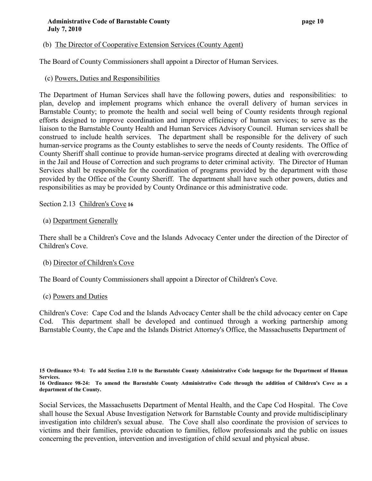## (b) The Director of Cooperative Extension Services (County Agent)

The Board of County Commissioners shall appoint a Director of Human Services.

## (c) Powers, Duties and Responsibilities

The Department of Human Services shall have the following powers, duties and responsibilities: to plan, develop and implement programs which enhance the overall delivery of human services in Barnstable County; to promote the health and social well being of County residents through regional efforts designed to improve coordination and improve efficiency of human services; to serve as the liaison to the Barnstable County Health and Human Services Advisory Council. Human services shall be construed to include health services. The department shall be responsible for the delivery of such human-service programs as the County establishes to serve the needs of County residents. The Office of County Sheriff shall continue to provide human-service programs directed at dealing with overcrowding in the Jail and House of Correction and such programs to deter criminal activity. The Director of Human Services shall be responsible for the coordination of programs provided by the department with those provided by the Office of the County Sheriff. The department shall have such other powers, duties and responsibilities as may be provided by County Ordinance or this administrative code.

#### Section 2.13 Children's Cove **16**

#### (a) Department Generally

There shall be a Children's Cove and the Islands Advocacy Center under the direction of the Director of Children's Cove.

#### (b) Director of Children's Cove

The Board of County Commissioners shall appoint a Director of Children's Cove.

#### (c) Powers and Duties

Children's Cove: Cape Cod and the Islands Advocacy Center shall be the child advocacy center on Cape Cod. This department shall be developed and continued through a working partnership among Barnstable County, the Cape and the Islands District Attorney's Office, the Massachusetts Department of

**<sup>15</sup> Ordinance 93-4: To add Section 2.10 to the Barnstable County Administrative Code language for the Department of Human Services.**

**<sup>16</sup> Ordinance 98-24: To amend the Barnstable County Administrative Code through the addition of Children's Cove as a department of the County.**

Social Services, the Massachusetts Department of Mental Health, and the Cape Cod Hospital. The Cove shall house the Sexual Abuse Investigation Network for Barnstable County and provide multidisciplinary investigation into children's sexual abuse. The Cove shall also coordinate the provision of services to victims and their families, provide education to families, fellow professionals and the public on issues concerning the prevention, intervention and investigation of child sexual and physical abuse.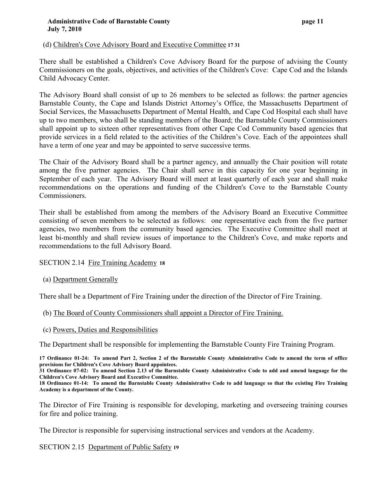## (d) Children's Cove Advisory Board and Executive Committee **17 31**

There shall be established a Children's Cove Advisory Board for the purpose of advising the County Commissioners on the goals, objectives, and activities of the Children's Cove: Cape Cod and the Islands Child Advocacy Center.

The Advisory Board shall consist of up to 26 members to be selected as follows: the partner agencies Barnstable County, the Cape and Islands District Attorney's Office, the Massachusetts Department of Social Services, the Massachusetts Department of Mental Health, and Cape Cod Hospital each shall have up to two members, who shall be standing members of the Board; the Barnstable County Commissioners shall appoint up to sixteen other representatives from other Cape Cod Community based agencies that provide services in a field related to the activities of the Children's Cove. Each of the appointees shall have a term of one year and may be appointed to serve successive terms.

The Chair of the Advisory Board shall be a partner agency, and annually the Chair position will rotate among the five partner agencies. The Chair shall serve in this capacity for one year beginning in September of each year. The Advisory Board will meet at least quarterly of each year and shall make recommendations on the operations and funding of the Children's Cove to the Barnstable County Commissioners.

Their shall be established from among the members of the Advisory Board an Executive Committee consisting of seven members to be selected as follows: one representative each from the five partner agencies, two members from the community based agencies. The Executive Committee shall meet at least bi-monthly and shall review issues of importance to the Children's Cove, and make reports and recommendations to the full Advisory Board.

#### SECTION 2.14 Fire Training Academy **18**

(a) Department Generally

There shall be a Department of Fire Training under the direction of the Director of Fire Training.

#### (b) The Board of County Commissioners shall appoint a Director of Fire Training.

(c) Powers, Duties and Responsibilities

The Department shall be responsible for implementing the Barnstable County Fire Training Program.

**17 Ordinance 01-24: To amend Part 2, Section 2 of the Barnstable County Administrative Code to amend the term of office provisions for Children's Cove Advisory Board appointees.**

**31 Ordinance 07-02: To amend Section 2.13 of the Barnstable County Administrative Code to add and amend language for the Children's Cove Advisory Board and Executive Committee.**

**18 Ordinance 01-14: To amend the Barnstable County Administrative Code to add language so that the existing Fire Training Academy is a department of the County.**

The Director of Fire Training is responsible for developing, marketing and overseeing training courses for fire and police training.

The Director is responsible for supervising instructional services and vendors at the Academy.

SECTION 2.15 Department of Public Safety **19**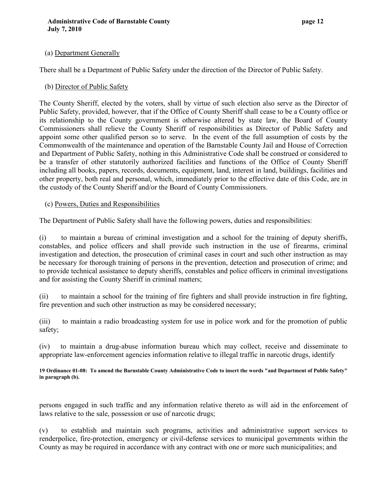## (a) Department Generally

There shall be a Department of Public Safety under the direction of the Director of Public Safety.

## (b) Director of Public Safety

The County Sheriff, elected by the voters, shall by virtue of such election also serve as the Director of Public Safety, provided, however, that if the Office of County Sheriff shall cease to be a County office or its relationship to the County government is otherwise altered by state law, the Board of County Commissioners shall relieve the County Sheriff of responsibilities as Director of Public Safety and appoint some other qualified person so to serve. In the event of the full assumption of costs by the Commonwealth of the maintenance and operation of the Barnstable County Jail and House of Correction and Department of Public Safety, nothing in this Administrative Code shall be construed or considered to be a transfer of other statutorily authorized facilities and functions of the Office of County Sheriff including all books, papers, records, documents, equipment, land, interest in land, buildings, facilities and other property, both real and personal, which, immediately prior to the effective date of this Code, are in the custody of the County Sheriff and/or the Board of County Commissioners.

#### (c) Powers, Duties and Responsibilities

The Department of Public Safety shall have the following powers, duties and responsibilities:

(i) to maintain a bureau of criminal investigation and a school for the training of deputy sheriffs, constables, and police officers and shall provide such instruction in the use of firearms, criminal investigation and detection, the prosecution of criminal cases in court and such other instruction as may be necessary for thorough training of persons in the prevention, detection and prosecution of crime; and to provide technical assistance to deputy sheriffs, constables and police officers in criminal investigations and for assisting the County Sheriff in criminal matters;

(ii) to maintain a school for the training of fire fighters and shall provide instruction in fire fighting, fire prevention and such other instruction as may be considered necessary;

(iii) to maintain a radio broadcasting system for use in police work and for the promotion of public safety;

(iv) to maintain a drug-abuse information bureau which may collect, receive and disseminate to appropriate law-enforcement agencies information relative to illegal traffic in narcotic drugs, identify

**19 Ordinance 01-08: To amend the Barnstable County Administrative Code to insert the words "and Department of Public Safety" in paragraph (b).**

persons engaged in such traffic and any information relative thereto as will aid in the enforcement of laws relative to the sale, possession or use of narcotic drugs;

(v) to establish and maintain such programs, activities and administrative support services to renderpolice, fire-protection, emergency or civil-defense services to municipal governments within the County as may be required in accordance with any contract with one or more such municipalities; and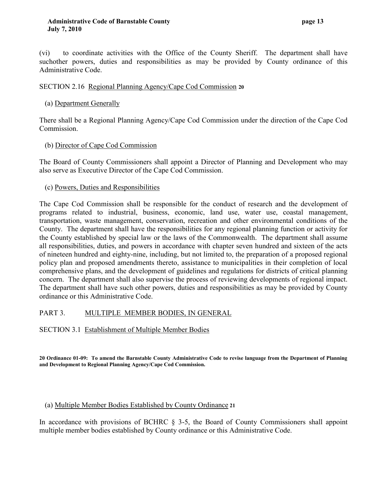(vi) to coordinate activities with the Office of the County Sheriff. The department shall have suchother powers, duties and responsibilities as may be provided by County ordinance of this Administrative Code.

## SECTION 2.16 Regional Planning Agency/Cape Cod Commission **20**

## (a) Department Generally

There shall be a Regional Planning Agency/Cape Cod Commission under the direction of the Cape Cod Commission.

## (b) Director of Cape Cod Commission

The Board of County Commissioners shall appoint a Director of Planning and Development who may also serve as Executive Director of the Cape Cod Commission.

## (c) Powers, Duties and Responsibilities

The Cape Cod Commission shall be responsible for the conduct of research and the development of programs related to industrial, business, economic, land use, water use, coastal management, transportation, waste management, conservation, recreation and other environmental conditions of the County. The department shall have the responsibilities for any regional planning function or activity for the County established by special law or the laws of the Commonwealth. The department shall assume all responsibilities, duties, and powers in accordance with chapter seven hundred and sixteen of the acts of nineteen hundred and eighty-nine, including, but not limited to, the preparation of a proposed regional policy plan and proposed amendments thereto, assistance to municipalities in their completion of local comprehensive plans, and the development of guidelines and regulations for districts of critical planning concern. The department shall also supervise the process of reviewing developments of regional impact. The department shall have such other powers, duties and responsibilities as may be provided by County ordinance or this Administrative Code.

## PART 3. MULTIPLE MEMBER BODIES, IN GENERAL

SECTION 3.1 Establishment of Multiple Member Bodies

**20 Ordinance 01-09: To amend the Barnstable County Administrative Code to revise language from the Department of Planning and Development to Regional Planning Agency/Cape Cod Commission.**

#### (a) Multiple Member Bodies Established by County Ordinance **21**

In accordance with provisions of BCHRC § 3-5, the Board of County Commissioners shall appoint multiple member bodies established by County ordinance or this Administrative Code.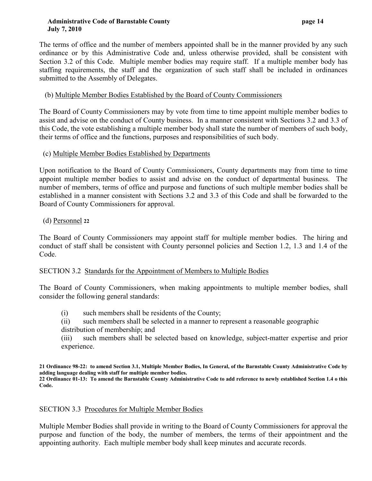#### **Administrative Code of Barnstable County page 14 July 7, 2010**

The terms of office and the number of members appointed shall be in the manner provided by any such ordinance or by this Administrative Code and, unless otherwise provided, shall be consistent with Section 3.2 of this Code. Multiple member bodies may require staff. If a multiple member body has staffing requirements, the staff and the organization of such staff shall be included in ordinances submitted to the Assembly of Delegates.

## (b) Multiple Member Bodies Established by the Board of County Commissioners

The Board of County Commissioners may by vote from time to time appoint multiple member bodies to assist and advise on the conduct of County business. In a manner consistent with Sections 3.2 and 3.3 of this Code, the vote establishing a multiple member body shall state the number of members of such body, their terms of office and the functions, purposes and responsibilities of such body.

## (c) Multiple Member Bodies Established by Departments

Upon notification to the Board of County Commissioners, County departments may from time to time appoint multiple member bodies to assist and advise on the conduct of departmental business. The number of members, terms of office and purpose and functions of such multiple member bodies shall be established in a manner consistent with Sections 3.2 and 3.3 of this Code and shall be forwarded to the Board of County Commissioners for approval.

## (d) Personnel **22**

The Board of County Commissioners may appoint staff for multiple member bodies. The hiring and conduct of staff shall be consistent with County personnel policies and Section 1.2, 1.3 and 1.4 of the Code.

## SECTION 3.2 Standards for the Appointment of Members to Multiple Bodies

The Board of County Commissioners, when making appointments to multiple member bodies, shall consider the following general standards:

- (i) such members shall be residents of the County;
- (ii) such members shall be selected in a manner to represent a reasonable geographic
- distribution of membership; and

(iii) such members shall be selected based on knowledge, subject-matter expertise and prior experience.

**21 Ordinance 98-22: to amend Section 3.1, Multiple Member Bodies, In General, of the Barnstable County Administrative Code by adding language dealing with staff for multiple member bodies. 22 Ordinance 01-13: To amend the Barnstable County Administrative Code to add reference to newly established Section 1.4 o this Code.**

## SECTION 3.3 Procedures for Multiple Member Bodies

Multiple Member Bodies shall provide in writing to the Board of County Commissioners for approval the purpose and function of the body, the number of members, the terms of their appointment and the appointing authority. Each multiple member body shall keep minutes and accurate records.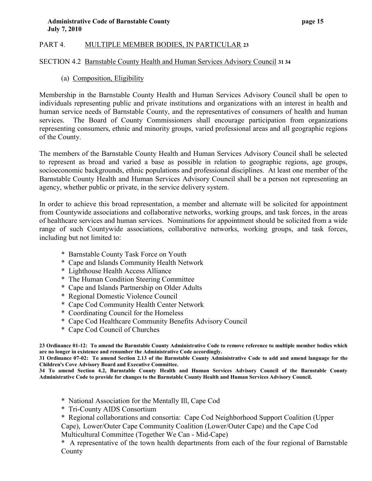# PART 4. MULTIPLE MEMBER BODIES, IN PARTICULAR **23**

## SECTION 4.2 Barnstable County Health and Human Services Advisory Council **31 34**

## (a) Composition, Eligibility

Membership in the Barnstable County Health and Human Services Advisory Council shall be open to individuals representing public and private institutions and organizations with an interest in health and human service needs of Barnstable County, and the representatives of consumers of health and human services. The Board of County Commissioners shall encourage participation from organizations representing consumers, ethnic and minority groups, varied professional areas and all geographic regions of the County.

The members of the Barnstable County Health and Human Services Advisory Council shall be selected to represent as broad and varied a base as possible in relation to geographic regions, age groups, socioeconomic backgrounds, ethnic populations and professional disciplines. At least one member of the Barnstable County Health and Human Services Advisory Council shall be a person not representing an agency, whether public or private, in the service delivery system.

In order to achieve this broad representation, a member and alternate will be solicited for appointment from Countywide associations and collaborative networks, working groups, and task forces, in the areas of healthcare services and human services. Nominations for appointment should be solicited from a wide range of such Countywide associations, collaborative networks, working groups, and task forces, including but not limited to:

- \* Barnstable County Task Force on Youth
- \* Cape and Islands Community Health Network
- \* Lighthouse Health Access Alliance
- \* The Human Condition Steering Committee
- \* Cape and Islands Partnership on Older Adults
- \* Regional Domestic Violence Council
- \* Cape Cod Community Health Center Network
- \* Coordinating Council for the Homeless
- \* Cape Cod Healthcare Community Benefits Advisory Council
- \* Cape Cod Council of Churches

**23 Ordinance 01-12: To amend the Barnstable County Administrative Code to remove reference to multiple member bodies which are no longer in existence and renumber the Administrative Code accordingly.**

**31 Ordinance 07-02: To amend Section 2.13 of the Barnstable County Administrative Code to add and amend language for the Children's Cove Advisory Board and Executive Committee.**

**34 To amend Section 4.2, Barnstable County Health and Human Services Advisory Council of the Barnstable County Administrative Code to provide for changes to the Barnstable County Health and Human Services Advisory Council.**

- \* National Association for the Mentally Ill, Cape Cod
- \* Tri-County AIDS Consortium

\* Regional collaborations and consortia: Cape Cod Neighborhood Support Coalition (Upper Cape), Lower/Outer Cape Community Coalition (Lower/Outer Cape) and the Cape Cod Multicultural Committee (Together We Can - Mid-Cape)

\* A representative of the town health departments from each of the four regional of Barnstable County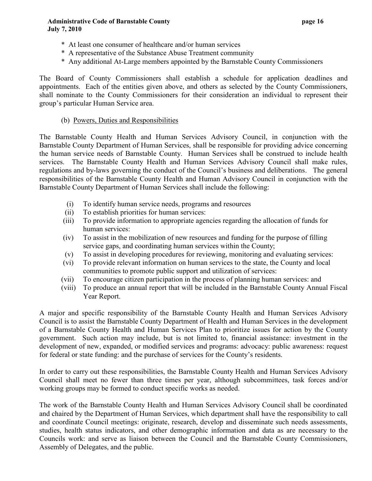- \* At least one consumer of healthcare and/or human services
- \* A representative of the Substance Abuse Treatment community
- \* Any additional At-Large members appointed by the Barnstable County Commissioners

The Board of County Commissioners shall establish a schedule for application deadlines and appointments. Each of the entities given above, and others as selected by the County Commissioners, shall nominate to the County Commissioners for their consideration an individual to represent their group's particular Human Service area.

## (b) Powers, Duties and Responsibilities

The Barnstable County Health and Human Services Advisory Council, in conjunction with the Barnstable County Department of Human Services, shall be responsible for providing advice concerning the human service needs of Barnstable County. Human Services shall be construed to include health services. The Barnstable County Health and Human Services Advisory Council shall make rules, regulations and by-laws governing the conduct of the Council's business and deliberations. The general responsibilities of the Barnstable County Health and Human Advisory Council in conjunction with the Barnstable County Department of Human Services shall include the following:

- (i) To identify human service needs, programs and resources
- (ii) To establish priorities for human services:
- (iii) To provide information to appropriate agencies regarding the allocation of funds for human services:
- (iv) To assist in the mobilization of new resources and funding for the purpose of filling service gaps, and coordinating human services within the County;
- (v) To assist in developing procedures for reviewing, monitoring and evaluating services:
- (vi) To provide relevant information on human services to the state, the County and local communities to promote public support and utilization of services:
- (vii) To encourage citizen participation in the process of planning human services: and
- (viii) To produce an annual report that will be included in the Barnstable County Annual Fiscal Year Report.

A major and specific responsibility of the Barnstable County Health and Human Services Advisory Council is to assist the Barnstable County Department of Health and Human Services in the development of a Barnstable County Health and Human Services Plan to prioritize issues for action by the County government. Such action may include, but is not limited to, financial assistance: investment in the development of new, expanded, or modified services and programs: advocacy: public awareness: request for federal or state funding: and the purchase of services for the County's residents.

In order to carry out these responsibilities, the Barnstable County Health and Human Services Advisory Council shall meet no fewer than three times per year, although subcommittees, task forces and/or working groups may be formed to conduct specific works as needed.

The work of the Barnstable County Health and Human Services Advisory Council shall be coordinated and chaired by the Department of Human Services, which department shall have the responsibility to call and coordinate Council meetings: originate, research, develop and disseminate such needs assessments, studies, health status indicators, and other demographic information and data as are necessary to the Councils work: and serve as liaison between the Council and the Barnstable County Commissioners, Assembly of Delegates, and the public.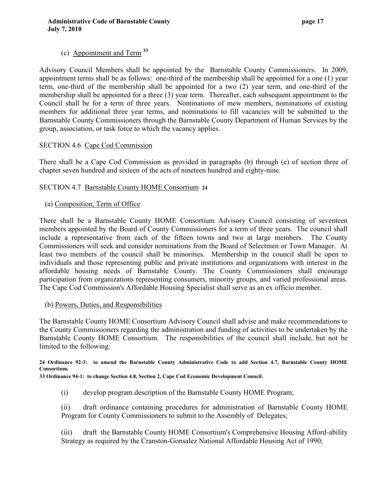# (c) Appointment and Term **<sup>33</sup>**

Advisory Council Members shall be appointed by the Barnstable County Commissioners. In 2009, appointment terms shall be as follows: one-third of the membership shall be appointed for a one (1) year term, one-third of the membership shall be appointed for a two (2) year term, and one-third of the membership shall be appointed for a three (3) year term. Thereafter, each subsequent appointment to the Council shall be for a term of three years. Nominations of mew members, nominations of existing members for additional three year terms, and nominations to fill vacancies will be submitted to the Barnstable County Commissioners through the Barnstable County Department of Human Services by the group, association, or task force to which the vacancy applies.

## SECTION 4.6 Cape Cod Commission

There shall be a Cape Cod Commission as provided in paragraphs (b) through (e) of section three of chapter seven hundred and sixteen of the acts of nineteen hundred and eighty-nine.

## SECTION 4.7 Barnstable County HOME Consortium **24**

## (a) Composition, Term of Office

There shall be a Barnstable County HOME Consortium Advisory Council consisting of seventeen members appointed by the Board of County Commissioners for a term of three years. The council shall include a representative from each of the fifteen towns and two at large members. The County Commissioners will seek and consider nominations from the Board of Selectmen or Town Manager. At least two members of the council shall be minorities. Membership in the council shall be open to individuals and those representing public and private institutions and organizations with interest in the affordable housing needs of Barnstable County. The County Commissioners shall encourage participation from organizations representing consumers, minority groups, and varied professional areas. The Cape Cod Commission's Affordable Housing Specialist shall serve as an ex officio member.

#### (b) Powers, Duties, and Responsibilities

The Barnstable County HOME Consortium Advisory Council shall advise and make recommendations to the County Commissioners regarding the administration and funding of activities to be undertaken by the Barnstable County HOME Consortium. The responsibilities of the council shall include, but not be limited to the following:

#### **24 Ordinance 92-3: to amend the Barnstable County Administrative Code to add Section 4.7, Barnstable County HOME Consortium.**

 **33 Ordinance 94-1: to change Section 4.8, Section 2, Cape Cod Economic Development Council**.

(i) develop program description of the Barnstable County HOME Program;

(ii) draft ordinance containing procedures for administration of Barnstable County HOME Program for County Commissioners to submit to the Assembly of Delegates;

(iii) draft the Barnstable County HOME Consortium's Comprehensive Housing Afford-ability Strategy as required by the Cranston-Gonsalez National Affordable Housing Act of 1990;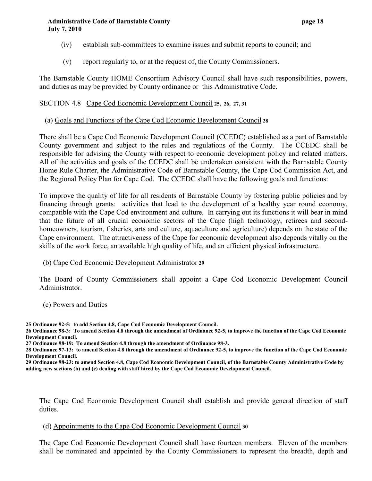- (iv) establish sub-committees to examine issues and submit reports to council; and
- (v) report regularly to, or at the request of, the County Commissioners.

The Barnstable County HOME Consortium Advisory Council shall have such responsibilities, powers, and duties as may be provided by County ordinance or this Administrative Code.

#### SECTION 4.8 Cape Cod Economic Development Council **25, 26, 27, 31**

#### (a) Goals and Functions of the Cape Cod Economic Development Council **28**

There shall be a Cape Cod Economic Development Council (CCEDC) established as a part of Barnstable County government and subject to the rules and regulations of the County. The CCEDC shall be responsible for advising the County with respect to economic development policy and related matters. All of the activities and goals of the CCEDC shall be undertaken consistent with the Barnstable County Home Rule Charter, the Administrative Code of Barnstable County, the Cape Cod Commission Act, and the Regional Policy Plan for Cape Cod. The CCEDC shall have the following goals and functions:

To improve the quality of life for all residents of Barnstable County by fostering public policies and by financing through grants: activities that lead to the development of a healthy year round economy, compatible with the Cape Cod environment and culture. In carrying out its functions it will bear in mind that the future of all crucial economic sectors of the Cape (high technology, retirees and secondhomeowners, tourism, fisheries, arts and culture, aquaculture and agriculture) depends on the state of the Cape environment. The attractiveness of the Cape for economic development also depends vitally on the skills of the work force, an available high quality of life, and an efficient physical infrastructure.

#### (b) Cape Cod Economic Development Administrator **29**

The Board of County Commissioners shall appoint a Cape Cod Economic Development Council Administrator.

- (c) Powers and Duties
- **25 Ordinance 92-5: to add Section 4.8, Cape Cod Economic Development Council.**

**26 Ordinance 98-3: To amend Section 4.8 through the amendment of Ordinance 92-5, to improve the function of the Cape Cod Economic Development Council.**

**28 Ordinance 97-13: to amend Section 4.8 through the amendment of Ordinance 92-5, to improve the function of the Cape Cod Economic Development Council.**

**29 Ordinance 98-23: to amend Section 4.8, Cape Cod Economic Development Council, of the Barnstable County Administrative Code by adding new sections (b) and (c) dealing with staff hired by the Cape Cod Economic Development Council.**

The Cape Cod Economic Development Council shall establish and provide general direction of staff duties.

#### (d) Appointments to the Cape Cod Economic Development Council **30**

The Cape Cod Economic Development Council shall have fourteen members. Eleven of the members shall be nominated and appointed by the County Commissioners to represent the breadth, depth and

**<sup>27</sup> Ordinance 98-19: To amend Section 4.8 through the amendment of Ordinance 98-3.**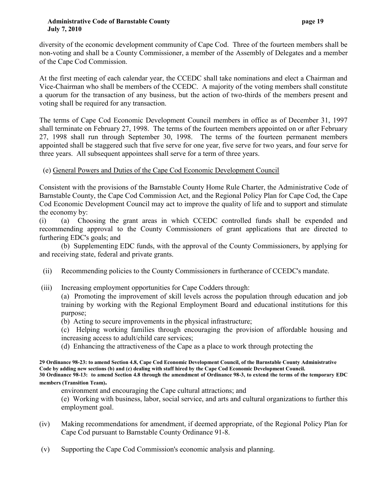diversity of the economic development community of Cape Cod. Three of the fourteen members shall be non-voting and shall be a County Commissioner, a member of the Assembly of Delegates and a member of the Cape Cod Commission.

At the first meeting of each calendar year, the CCEDC shall take nominations and elect a Chairman and Vice-Chairman who shall be members of the CCEDC. A majority of the voting members shall constitute a quorum for the transaction of any business, but the action of two-thirds of the members present and voting shall be required for any transaction.

The terms of Cape Cod Economic Development Council members in office as of December 31, 1997 shall terminate on February 27, 1998. The terms of the fourteen members appointed on or after February 27, 1998 shall run through September 30, 1998. The terms of the fourteen permanent members appointed shall be staggered such that five serve for one year, five serve for two years, and four serve for three years. All subsequent appointees shall serve for a term of three years.

## (e) General Powers and Duties of the Cape Cod Economic Development Council

Consistent with the provisions of the Barnstable County Home Rule Charter, the Administrative Code of Barnstable County, the Cape Cod Commission Act, and the Regional Policy Plan for Cape Cod, the Cape Cod Economic Development Council may act to improve the quality of life and to support and stimulate the economy by:

(i) (a) Choosing the grant areas in which CCEDC controlled funds shall be expended and recommending approval to the County Commissioners of grant applications that are directed to furthering EDC's goals; and

 (b) Supplementing EDC funds, with the approval of the County Commissioners, by applying for and receiving state, federal and private grants.

- (ii) Recommending policies to the County Commissioners in furtherance of CCEDC's mandate.
- (iii) Increasing employment opportunities for Cape Codders through:

 (a) Promoting the improvement of skill levels across the population through education and job training by working with the Regional Employment Board and educational institutions for this purpose;

- (b) Acting to secure improvements in the physical infrastructure;
- (c) Helping working families through encouraging the provision of affordable housing and increasing access to adult/child care services;
- (d) Enhancing the attractiveness of the Cape as a place to work through protecting the

**29 Ordinance 98-23: to amend Section 4.8, Cape Cod Economic Development Council, of the Barnstable County Administrative Code by adding new sections (b) and (c) dealing with staff hired by the Cape Cod Economic Development Council. 30 Ordinance 98-13: to amend Section 4.8 through the amendment of Ordinance 98-3, to extend the terms of the temporary EDC members (Transition Team).**

environment and encouraging the Cape cultural attractions; and

 (e) Working with business, labor, social service, and arts and cultural organizations to further this employment goal.

- (iv) Making recommendations for amendment, if deemed appropriate, of the Regional Policy Plan for Cape Cod pursuant to Barnstable County Ordinance 91-8.
- (v) Supporting the Cape Cod Commission's economic analysis and planning.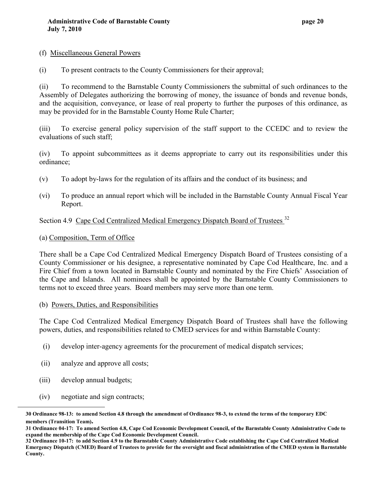- (f) Miscellaneous General Powers
- (i) To present contracts to the County Commissioners for their approval;

(ii) To recommend to the Barnstable County Commissioners the submittal of such ordinances to the Assembly of Delegates authorizing the borrowing of money, the issuance of bonds and revenue bonds, and the acquisition, conveyance, or lease of real property to further the purposes of this ordinance, as may be provided for in the Barnstable County Home Rule Charter;

(iii) To exercise general policy supervision of the staff support to the CCEDC and to review the evaluations of such staff;

(iv) To appoint subcommittees as it deems appropriate to carry out its responsibilities under this ordinance;

- (v) To adopt by-laws for the regulation of its affairs and the conduct of its business; and
- (vi) To produce an annual report which will be included in the Barnstable County Annual Fiscal Year Report.

# Section 4.9 Cape Cod Centralized Medical Emergency Dispatch Board of Trustees<sup>32</sup>

#### (a) Composition, Term of Office

There shall be a Cape Cod Centralized Medical Emergency Dispatch Board of Trustees consisting of a County Commissioner or his designee, a representative nominated by Cape Cod Healthcare, Inc. and a Fire Chief from a town located in Barnstable County and nominated by the Fire Chiefs' Association of the Cape and Islands. All nominees shall be appointed by the Barnstable County Commissioners to terms not to exceed three years. Board members may serve more than one term.

#### (b) Powers, Duties, and Responsibilities

The Cape Cod Centralized Medical Emergency Dispatch Board of Trustees shall have the following powers, duties, and responsibilities related to CMED services for and within Barnstable County:

- (i) develop inter-agency agreements for the procurement of medical dispatch services;
- (ii) analyze and approve all costs;
- (iii) develop annual budgets;

 $\overline{a}$ 

(iv) negotiate and sign contracts;

**<sup>30</sup> Ordinance 98-13: to amend Section 4.8 through the amendment of Ordinance 98-3, to extend the terms of the temporary EDC members (Transition Team).**

**<sup>31</sup> Ordinance 04-17: To amend Section 4.8, Cape Cod Economic Development Council, of the Barnstable County Administrative Code to expand the membership of the Cape Cod Economic Development Council.**

**<sup>32</sup> Ordinance 10-17: to add Section 4.9 to the Barnstable County Administrative Code establishing the Cape Cod Centralized Medical Emergency Dispatch (CMED) Board of Trustees to provide for the oversight and fiscal administration of the CMED system in Barnstable County.**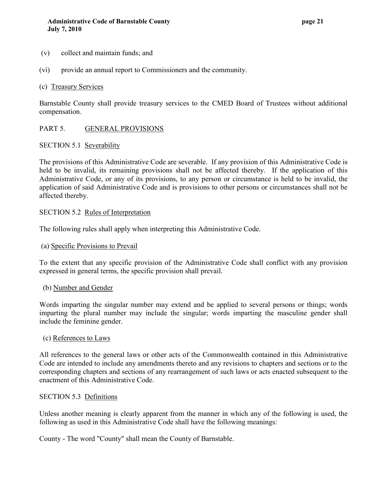- (v) collect and maintain funds; and
- (vi) provide an annual report to Commissioners and the community.

#### (c) Treasury Services

Barnstable County shall provide treasury services to the CMED Board of Trustees without additional compensation.

#### PART 5. GENERAL PROVISIONS

#### SECTION 5.1 Severability

The provisions of this Administrative Code are severable. If any provision of this Administrative Code is held to be invalid, its remaining provisions shall not be affected thereby. If the application of this Administrative Code, or any of its provisions, to any person or circumstance is held to be invalid, the application of said Administrative Code and is provisions to other persons or circumstances shall not be affected thereby.

#### SECTION 5.2 Rules of Interpretation

The following rules shall apply when interpreting this Administrative Code.

#### (a) Specific Provisions to Prevail

To the extent that any specific provision of the Administrative Code shall conflict with any provision expressed in general terms, the specific provision shall prevail.

#### (b) Number and Gender

Words imparting the singular number may extend and be applied to several persons or things; words imparting the plural number may include the singular; words imparting the masculine gender shall include the feminine gender.

#### (c) References to Laws

All references to the general laws or other acts of the Commonwealth contained in this Administrative Code are intended to include any amendments thereto and any revisions to chapters and sections or to the corresponding chapters and sections of any rearrangement of such laws or acts enacted subsequent to the enactment of this Administrative Code.

#### SECTION 5.3 Definitions

Unless another meaning is clearly apparent from the manner in which any of the following is used, the following as used in this Administrative Code shall have the following meanings:

County - The word "County" shall mean the County of Barnstable.